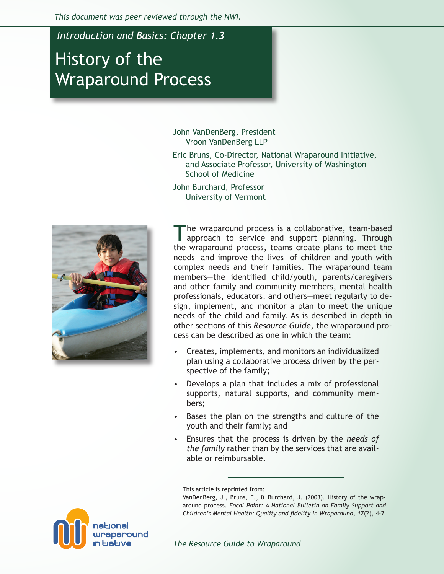*This document was peer reviewed through the NWI.* 

*Introduction and Basics: Chapter 1.3*

# History of the Wraparound Process

John VanDenBerg, President Vroon VanDenBerg LLP

Eric Bruns, Co-Director, National Wraparound Initiative, and Associate Professor, University of Washington School of Medicine

John Burchard, Professor University of Vermont



The wraparound process is a collaborative, team-based approach to service and support planning. Through the wraparound process, teams create plans to meet the needs—and improve the lives—of children and youth with complex needs and their families. The wraparound team members—the identified child/youth, parents/caregivers and other family and community members, mental health professionals, educators, and others—meet regularly to design, implement, and monitor a plan to meet the unique needs of the child and family. As is described in depth in other sections of this *Resource Guide*, the wraparound process can be described as one in which the team:

- Creates, implements, and monitors an individualized plan using a collaborative process driven by the perspective of the family; •
- Develops a plan that includes a mix of professional supports, natural supports, and community members; •
- Bases the plan on the strengths and culture of the youth and their family; and •
- Ensures that the process is driven by the *needs of the family* rather than by the services that are available or reimbursable.

This article is reprinted from:

VanDenBerg, J., Bruns, E., & Burchard, J. (2003). History of the wraparound process. *Focal Point: A National Bulletin on Family Support and Children's Mental Health: Quality and fidelity in Wraparound, 17*(2), 4-7

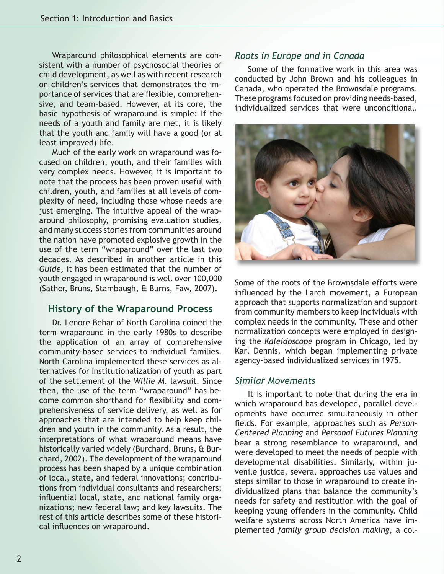Wraparound philosophical elements are consistent with a number of psychosocial theories of child development, as well as with recent research on children's services that demonstrates the importance of services that are flexible, comprehensive, and team-based. However, at its core, the basic hypothesis of wraparound is simple: If the needs of a youth and family are met, it is likely that the youth and family will have a good (or at least improved) life.

Much of the early work on wraparound was focused on children, youth, and their families with very complex needs. However, it is important to note that the process has been proven useful with children, youth, and families at all levels of complexity of need, including those whose needs are just emerging. The intuitive appeal of the wraparound philosophy, promising evaluation studies, and many success stories from communities around the nation have promoted explosive growth in the use of the term "wraparound" over the last two decades. As described in another article in this *Guide,* it has been estimated that the number of youth engaged in wraparound is well over 100,000 (Sather, Bruns, Stambaugh, & Burns, Faw, 2007).

## **History of the Wraparound Process**

Dr. Lenore Behar of North Carolina coined the term wraparound in the early 1980s to describe the application of an array of comprehensive community-based services to individual families. North Carolina implemented these services as alternatives for institutionalization of youth as part of the settlement of the *Willie M.* lawsuit. Since then, the use of the term "wraparound" has become common shorthand for flexibility and comprehensiveness of service delivery, as well as for approaches that are intended to help keep children and youth in the community. As a result, the interpretations of what wraparound means have historically varied widely (Burchard, Bruns, & Burchard, 2002). The development of the wraparound process has been shaped by a unique combination of local, state, and federal innovations; contributions from individual consultants and researchers; influential local, state, and national family organizations; new federal law; and key lawsuits. The rest of this article describes some of these historical influences on wraparound.

#### *Roots in Europe and in Canada*

Some of the formative work in this area was conducted by John Brown and his colleagues in Canada, who operated the Brownsdale programs. These programs focused on providing needs-based, individualized services that were unconditional.



Some of the roots of the Brownsdale efforts were influenced by the Larch movement, a European approach that supports normalization and support from community members to keep individuals with complex needs in the community. These and other normalization concepts were employed in designing the *Kaleidoscope* program in Chicago, led by Karl Dennis, which began implementing private agency-based individualized services in 1975.

#### *Similar Movements*

It is important to note that during the era in which wraparound has developed, parallel developments have occurred simultaneously in other fields. For example, approaches such as *Person-Centered Planning* and *Personal Futures Planning* bear a strong resemblance to wraparound, and were developed to meet the needs of people with developmental disabilities. Similarly, within juvenile justice, several approaches use values and steps similar to those in wraparound to create individualized plans that balance the community's needs for safety and restitution with the goal of keeping young offenders in the community. Child welfare systems across North America have implemented *family group decision making*, a col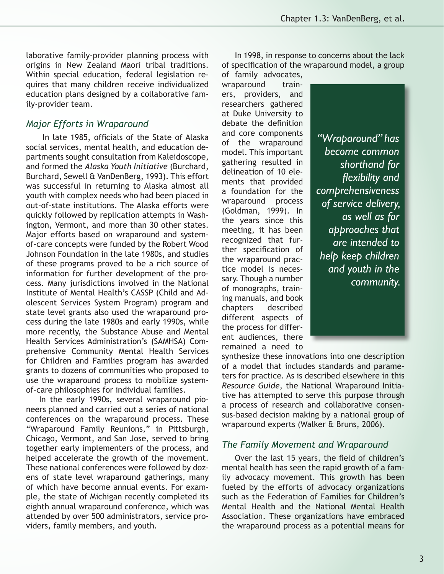laborative family-provider planning process with origins in New Zealand Maori tribal traditions. Within special education, federal legislation requires that many children receive individualized education plans designed by a collaborative family-provider team.

# *Major Efforts in Wraparound*

 In late 1985, officials of the State of Alaska social services, mental health, and education departments sought consultation from Kaleidoscope, and formed the *Alaska Youth Initiative* (Burchard, Burchard, Sewell & VanDenBerg, 1993). This effort was successful in returning to Alaska almost all youth with complex needs who had been placed in out-of-state institutions. The Alaska efforts were quickly followed by replication attempts in Washington, Vermont, and more than 30 other states. Major efforts based on wraparound and systemof-care concepts were funded by the Robert Wood Johnson Foundation in the late 1980s, and studies of these programs proved to be a rich source of information for further development of the process. Many jurisdictions involved in the National Institute of Mental Health's CASSP (Child and Adolescent Services System Program) program and state level grants also used the wraparound process during the late 1980s and early 1990s, while more recently, the Substance Abuse and Mental Health Services Administration's (SAMHSA) Comprehensive Community Mental Health Services for Children and Families program has awarded grants to dozens of communities who proposed to use the wraparound process to mobilize systemof-care philosophies for individual families.

In the early 1990s, several wraparound pioneers planned and carried out a series of national conferences on the wraparound process. These "Wraparound Family Reunions," in Pittsburgh, Chicago, Vermont, and San Jose, served to bring together early implementers of the process, and helped accelerate the growth of the movement. These national conferences were followed by dozens of state level wraparound gatherings, many of which have become annual events. For example, the state of Michigan recently completed its eighth annual wraparound conference, which was attended by over 500 administrators, service providers, family members, and youth.

In 1998, in response to concerns about the lack of specification of the wraparound model, a group of family advocates,

wraparound trainers, providers, and researchers gathered at Duke University to debate the definition and core components of the wraparound model. This important gathering resulted in delineation of 10 elements that provided a foundation for the wraparound process (Goldman, 1999). In the years since this meeting, it has been recognized that further specification of the wraparound practice model is necessary. Though a number of monographs, training manuals, and book chapters described different aspects of the process for different audiences, there remained a need to

*"Wraparound" has become common shorthand for flexibility and comprehensiveness of service delivery, as well as for approaches that are intended to help keep children and youth in the community.*

synthesize these innovations into one description of a model that includes standards and parameters for practice. As is described elsewhere in this *Resource Guide*, the National Wraparound Initiative has attempted to serve this purpose through a process of research and collaborative consensus-based decision making by a national group of wraparound experts (Walker & Bruns, 2006).

#### *The Family Movement and Wraparound*

Over the last 15 years, the field of children's mental health has seen the rapid growth of a family advocacy movement. This growth has been fueled by the efforts of advocacy organizations such as the Federation of Families for Children's Mental Health and the National Mental Health Association. These organizations have embraced the wraparound process as a potential means for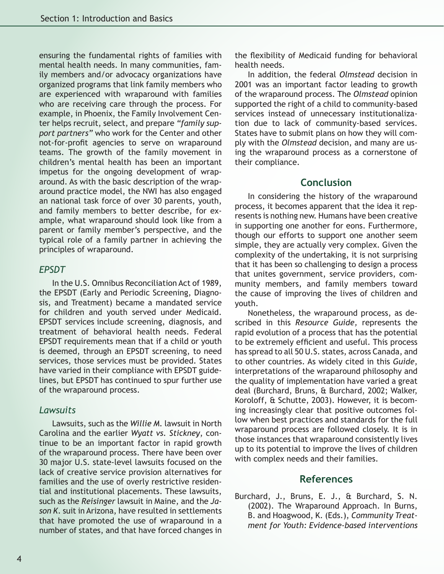ensuring the fundamental rights of families with mental health needs. In many communities, family members and/or advocacy organizations have organized programs that link family members who are experienced with wraparound with families who are receiving care through the process. For example, in Phoenix, the Family Involvement Center helps recruit, select, and prepare *"family support partners"* who work for the Center and other not-for-profit agencies to serve on wraparound teams. The growth of the family movement in children's mental health has been an important impetus for the ongoing development of wraparound. As with the basic description of the wraparound practice model, the NWI has also engaged an national task force of over 30 parents, youth, and family members to better describe, for example, what wraparound should look like from a parent or family member's perspective, and the typical role of a family partner in achieving the principles of wraparound.

#### *EPSDT*

In the U.S. Omnibus Reconciliation Act of 1989, the EPSDT (Early and Periodic Screening, Diagnosis, and Treatment) became a mandated service for children and youth served under Medicaid. EPSDT services include screening, diagnosis, and treatment of behavioral health needs. Federal EPSDT requirements mean that if a child or youth is deemed, through an EPSDT screening, to need services, those services must be provided. States have varied in their compliance with EPSDT guidelines, but EPSDT has continued to spur further use of the wraparound process.

#### *Lawsuits*

Lawsuits, such as the *Willie M.* lawsuit in North Carolina and the earlier *Wyatt vs. Stickney*, continue to be an important factor in rapid growth of the wraparound process. There have been over 30 major U.S. state-level lawsuits focused on the lack of creative service provision alternatives for families and the use of overly restrictive residential and institutional placements. These lawsuits, such as the *Reisinger* lawsuit in Maine, and the *Jason K*. suit in Arizona, have resulted in settlements that have promoted the use of wraparound in a number of states, and that have forced changes in

the flexibility of Medicaid funding for behavioral health needs.

In addition, the federal *Olmstead* decision in 2001 was an important factor leading to growth of the wraparound process. The *Olmstead* opinion supported the right of a child to community-based services instead of unnecessary institutionalization due to lack of community-based services. States have to submit plans on how they will comply with the *Olmstead* decision, and many are using the wraparound process as a cornerstone of their compliance.

# **Conclusion**

In considering the history of the wraparound process, it becomes apparent that the idea it represents is nothing new. Humans have been creative in supporting one another for eons. Furthermore, though our efforts to support one another seem simple, they are actually very complex. Given the complexity of the undertaking, it is not surprising that it has been so challenging to design a process that unites government, service providers, community members, and family members toward the cause of improving the lives of children and youth.

Nonetheless, the wraparound process, as described in this *Resource Guide,* represents the rapid evolution of a process that has the potential to be extremely efficient and useful. This process has spread to all 50 U.S. states, across Canada, and to other countries. As widely cited in this *Guide*, interpretations of the wraparound philosophy and the quality of implementation have varied a great deal (Burchard, Bruns, & Burchard, 2002; Walker, Koroloff, & Schutte, 2003). However, it is becoming increasingly clear that positive outcomes follow when best practices and standards for the full wraparound process are followed closely. It is in those instances that wraparound consistently lives up to its potential to improve the lives of children with complex needs and their families.

## **References**

Burchard, J., Bruns, E. J., & Burchard, S. N. (2002). The Wraparound Approach. In Burns, B. and Hoagwood, K. (Eds.), *Community Treatment for Youth: Evidence-based interventions*